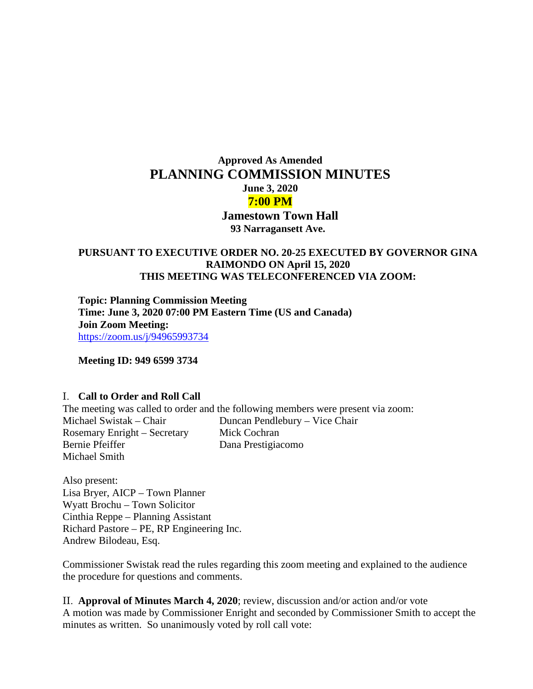# **Approved As Amended PLANNING COMMISSION MINUTES June 3, 2020 7:00 PM Jamestown Town Hall 93 Narragansett Ave.**

#### **PURSUANT TO EXECUTIVE ORDER NO. 20-25 EXECUTED BY GOVERNOR GINA RAIMONDO ON April 15, 2020 THIS MEETING WAS TELECONFERENCED VIA ZOOM:**

**Topic: Planning Commission Meeting Time: June 3, 2020 07:00 PM Eastern Time (US and Canada) Join Zoom Meeting:** <https://zoom.us/j/94965993734>

**Meeting ID: 949 6599 3734** 

#### I. **Call to Order and Roll Call**

The meeting was called to order and the following members were present via zoom: Michael Swistak – Chair Duncan Pendlebury – Vice Chair Rosemary Enright – Secretary Mick Cochran Bernie Pfeiffer Dana Prestigiacomo Michael Smith

Also present: Lisa Bryer, AICP – Town Planner Wyatt Brochu – Town Solicitor Cinthia Reppe – Planning Assistant Richard Pastore – PE, RP Engineering Inc. Andrew Bilodeau, Esq.

Commissioner Swistak read the rules regarding this zoom meeting and explained to the audience the procedure for questions and comments.

II. **Approval of Minutes March 4, 2020**; review, discussion and/or action and/or vote A motion was made by Commissioner Enright and seconded by Commissioner Smith to accept the minutes as written. So unanimously voted by roll call vote: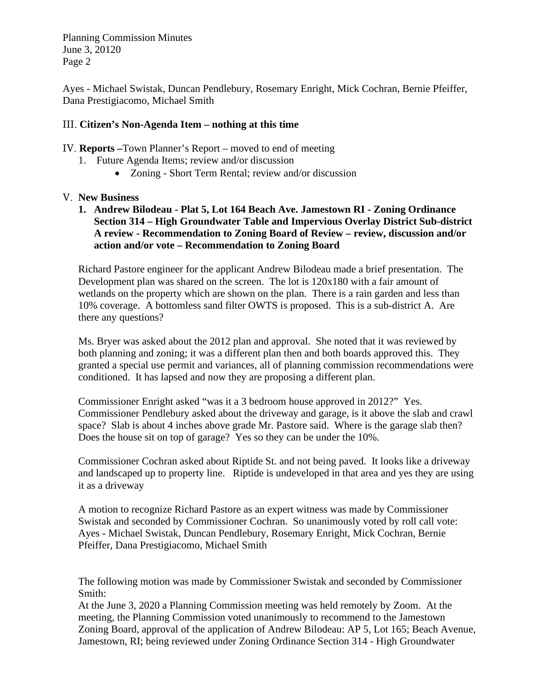Ayes - Michael Swistak, Duncan Pendlebury, Rosemary Enright, Mick Cochran, Bernie Pfeiffer, Dana Prestigiacomo, Michael Smith

#### III. **Citizen's Non-Agenda Item – nothing at this time**

- IV. **Reports –**Town Planner's Report moved to end of meeting
	- 1. Future Agenda Items; review and/or discussion
		- Zoning Short Term Rental; review and/or discussion

#### V. **New Business**

**1. Andrew Bilodeau - Plat 5, Lot 164 Beach Ave. Jamestown RI - Zoning Ordinance Section 314 – High Groundwater Table and Impervious Overlay District Sub-district A review - Recommendation to Zoning Board of Review – review, discussion and/or action and/or vote – Recommendation to Zoning Board**

Richard Pastore engineer for the applicant Andrew Bilodeau made a brief presentation. The Development plan was shared on the screen. The lot is 120x180 with a fair amount of wetlands on the property which are shown on the plan. There is a rain garden and less than 10% coverage. A bottomless sand filter OWTS is proposed. This is a sub-district A. Are there any questions?

Ms. Bryer was asked about the 2012 plan and approval. She noted that it was reviewed by both planning and zoning; it was a different plan then and both boards approved this. They granted a special use permit and variances, all of planning commission recommendations were conditioned. It has lapsed and now they are proposing a different plan.

Commissioner Enright asked "was it a 3 bedroom house approved in 2012?" Yes. Commissioner Pendlebury asked about the driveway and garage, is it above the slab and crawl space? Slab is about 4 inches above grade Mr. Pastore said. Where is the garage slab then? Does the house sit on top of garage? Yes so they can be under the 10%.

Commissioner Cochran asked about Riptide St. and not being paved. It looks like a driveway and landscaped up to property line. Riptide is undeveloped in that area and yes they are using it as a driveway

A motion to recognize Richard Pastore as an expert witness was made by Commissioner Swistak and seconded by Commissioner Cochran. So unanimously voted by roll call vote: Ayes - Michael Swistak, Duncan Pendlebury, Rosemary Enright, Mick Cochran, Bernie Pfeiffer, Dana Prestigiacomo, Michael Smith

The following motion was made by Commissioner Swistak and seconded by Commissioner Smith:

At the June 3, 2020 a Planning Commission meeting was held remotely by Zoom. At the meeting, the Planning Commission voted unanimously to recommend to the Jamestown Zoning Board, approval of the application of Andrew Bilodeau: AP 5, Lot 165; Beach Avenue, Jamestown, RI; being reviewed under Zoning Ordinance Section 314 - High Groundwater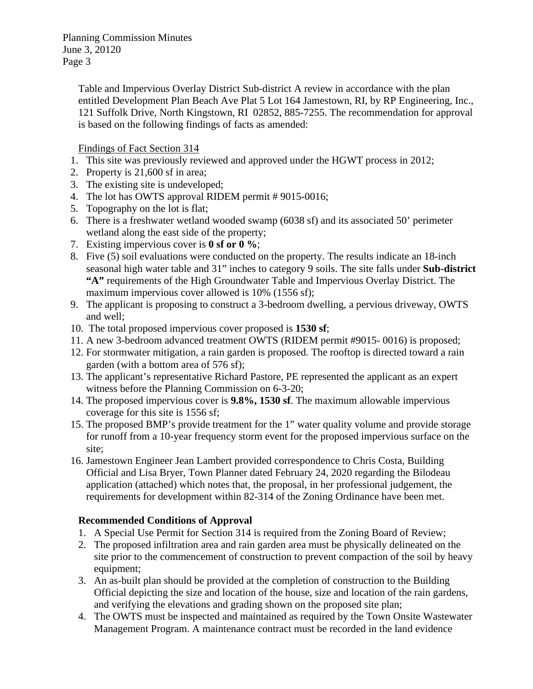> Table and Impervious Overlay District Sub-district A review in accordance with the plan entitled Development Plan Beach Ave Plat 5 Lot 164 Jamestown, RI, by RP Engineering, Inc., 121 Suffolk Drive, North Kingstown, RI 02852, 885-7255. The recommendation for approval is based on the following findings of facts as amended:

Findings of Fact Section 314

- 1. This site was previously reviewed and approved under the HGWT process in 2012;
- 2. Property is 21,600 sf in area;
- 3. The existing site is undeveloped;
- 4. The lot has OWTS approval RIDEM permit # 9015-0016;
- 5. Topography on the lot is flat;
- 6. There is a freshwater wetland wooded swamp (6038 sf) and its associated 50' perimeter wetland along the east side of the property;
- 7. Existing impervious cover is **0 sf or 0 %**;
- 8. Five (5) soil evaluations were conducted on the property. The results indicate an 18-inch seasonal high water table and 31" inches to category 9 soils. The site falls under **Sub-district "A"** requirements of the High Groundwater Table and Impervious Overlay District. The maximum impervious cover allowed is 10% (1556 sf);
- 9. The applicant is proposing to construct a 3-bedroom dwelling, a pervious driveway, OWTS and well;
- 10. The total proposed impervious cover proposed is **1530 sf**;
- 11. A new 3-bedroom advanced treatment OWTS (RIDEM permit #9015- 0016) is proposed;
- 12. For stormwater mitigation, a rain garden is proposed. The rooftop is directed toward a rain garden (with a bottom area of 576 sf);
- 13. The applicant's representative Richard Pastore, PE represented the applicant as an expert witness before the Planning Commission on 6-3-20;
- 14. The proposed impervious cover is **9.8%, 1530 sf**. The maximum allowable impervious coverage for this site is 1556 sf;
- 15. The proposed BMP's provide treatment for the 1" water quality volume and provide storage for runoff from a 10-year frequency storm event for the proposed impervious surface on the site;
- 16. Jamestown Engineer Jean Lambert provided correspondence to Chris Costa, Building Official and Lisa Bryer, Town Planner dated February 24, 2020 regarding the Bilodeau application (attached) which notes that, the proposal, in her professional judgement, the requirements for development within 82-314 of the Zoning Ordinance have been met.

# **Recommended Conditions of Approval**

- 1. A Special Use Permit for Section 314 is required from the Zoning Board of Review;
- 2. The proposed infiltration area and rain garden area must be physically delineated on the site prior to the commencement of construction to prevent compaction of the soil by heavy equipment;
- 3. An as-built plan should be provided at the completion of construction to the Building Official depicting the size and location of the house, size and location of the rain gardens, and verifying the elevations and grading shown on the proposed site plan;
- 4. The OWTS must be inspected and maintained as required by the Town Onsite Wastewater Management Program. A maintenance contract must be recorded in the land evidence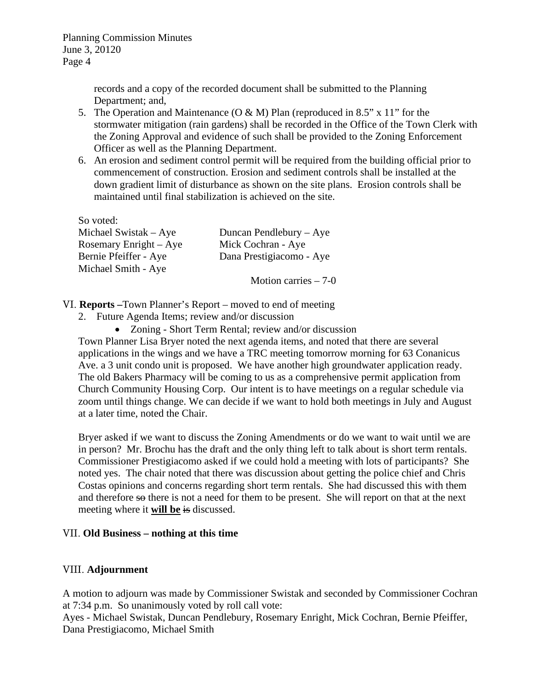> records and a copy of the recorded document shall be submitted to the Planning Department; and,

- 5. The Operation and Maintenance (O & M) Plan (reproduced in 8.5" x 11" for the stormwater mitigation (rain gardens) shall be recorded in the Office of the Town Clerk with the Zoning Approval and evidence of such shall be provided to the Zoning Enforcement Officer as well as the Planning Department.
- 6. An erosion and sediment control permit will be required from the building official prior to commencement of construction. Erosion and sediment controls shall be installed at the down gradient limit of disturbance as shown on the site plans. Erosion controls shall be maintained until final stabilization is achieved on the site.

| So voted:                |                          |
|--------------------------|--------------------------|
| Michael Swistak – Aye    | Duncan Pendlebury – Aye  |
| Rosemary Enright $-$ Aye | Mick Cochran - Aye       |
| Bernie Pfeiffer - Aye    | Dana Prestigiacomo - Aye |
| Michael Smith - Aye      |                          |
|                          | Motion carries $-7-0$    |

VI. **Reports –**Town Planner's Report – moved to end of meeting

- 2. Future Agenda Items; review and/or discussion
	- Zoning Short Term Rental; review and/or discussion

Town Planner Lisa Bryer noted the next agenda items, and noted that there are several applications in the wings and we have a TRC meeting tomorrow morning for 63 Conanicus Ave. a 3 unit condo unit is proposed. We have another high groundwater application ready. The old Bakers Pharmacy will be coming to us as a comprehensive permit application from Church Community Housing Corp. Our intent is to have meetings on a regular schedule via zoom until things change. We can decide if we want to hold both meetings in July and August at a later time, noted the Chair.

Bryer asked if we want to discuss the Zoning Amendments or do we want to wait until we are in person? Mr. Brochu has the draft and the only thing left to talk about is short term rentals. Commissioner Prestigiacomo asked if we could hold a meeting with lots of participants? She noted yes. The chair noted that there was discussion about getting the police chief and Chris Costas opinions and concerns regarding short term rentals. She had discussed this with them and therefore so there is not a need for them to be present. She will report on that at the next meeting where it **will be** is discussed.

## VII. **Old Business – nothing at this time**

## VIII. **Adjournment**

A motion to adjourn was made by Commissioner Swistak and seconded by Commissioner Cochran at 7:34 p.m. So unanimously voted by roll call vote:

Ayes - Michael Swistak, Duncan Pendlebury, Rosemary Enright, Mick Cochran, Bernie Pfeiffer, Dana Prestigiacomo, Michael Smith